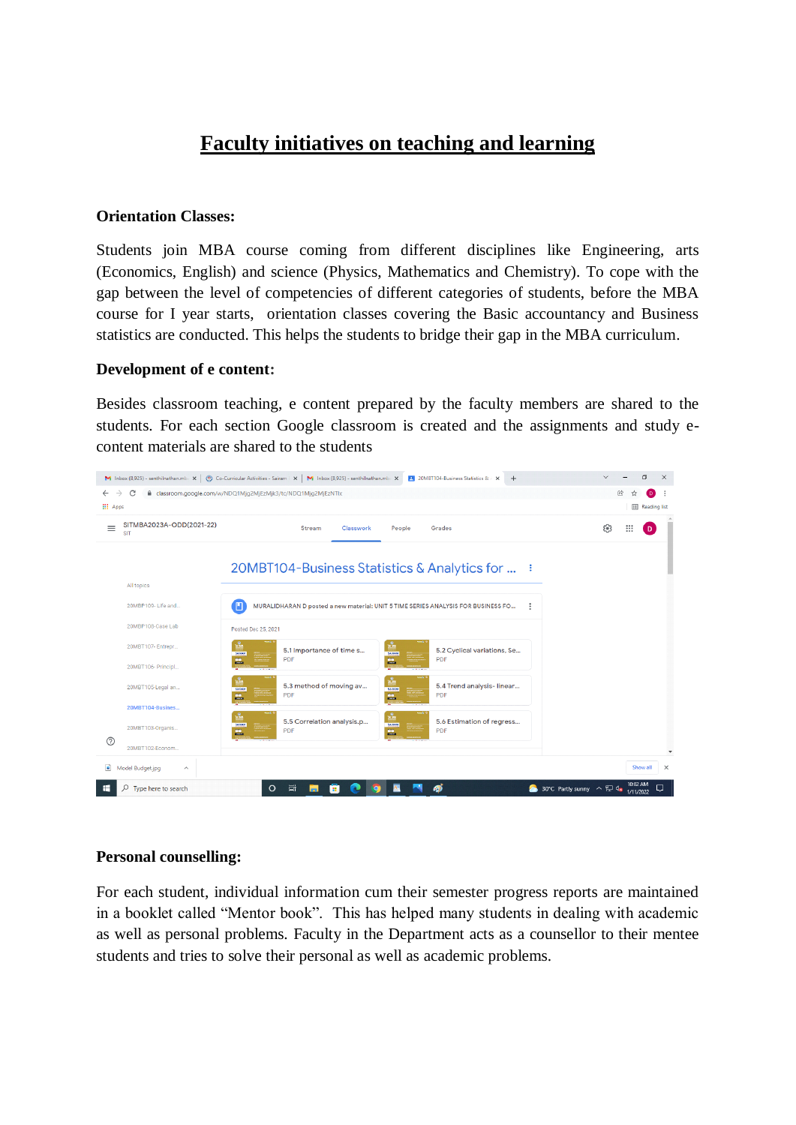# **Faculty initiatives on teaching and learning**

#### **Orientation Classes:**

Students join MBA course coming from different disciplines like Engineering, arts (Economics, English) and science (Physics, Mathematics and Chemistry). To cope with the gap between the level of competencies of different categories of students, before the MBA course for I year starts, orientation classes covering the Basic accountancy and Business statistics are conducted. This helps the students to bridge their gap in the MBA curriculum.

#### **Development of e content:**

Besides classroom teaching, e content prepared by the faculty members are shared to the students. For each section Google classroom is created and the assignments and study econtent materials are shared to the students



#### **Personal counselling:**

For each student, individual information cum their semester progress reports are maintained in a booklet called "Mentor book". This has helped many students in dealing with academic as well as personal problems. Faculty in the Department acts as a counsellor to their mentee students and tries to solve their personal as well as academic problems.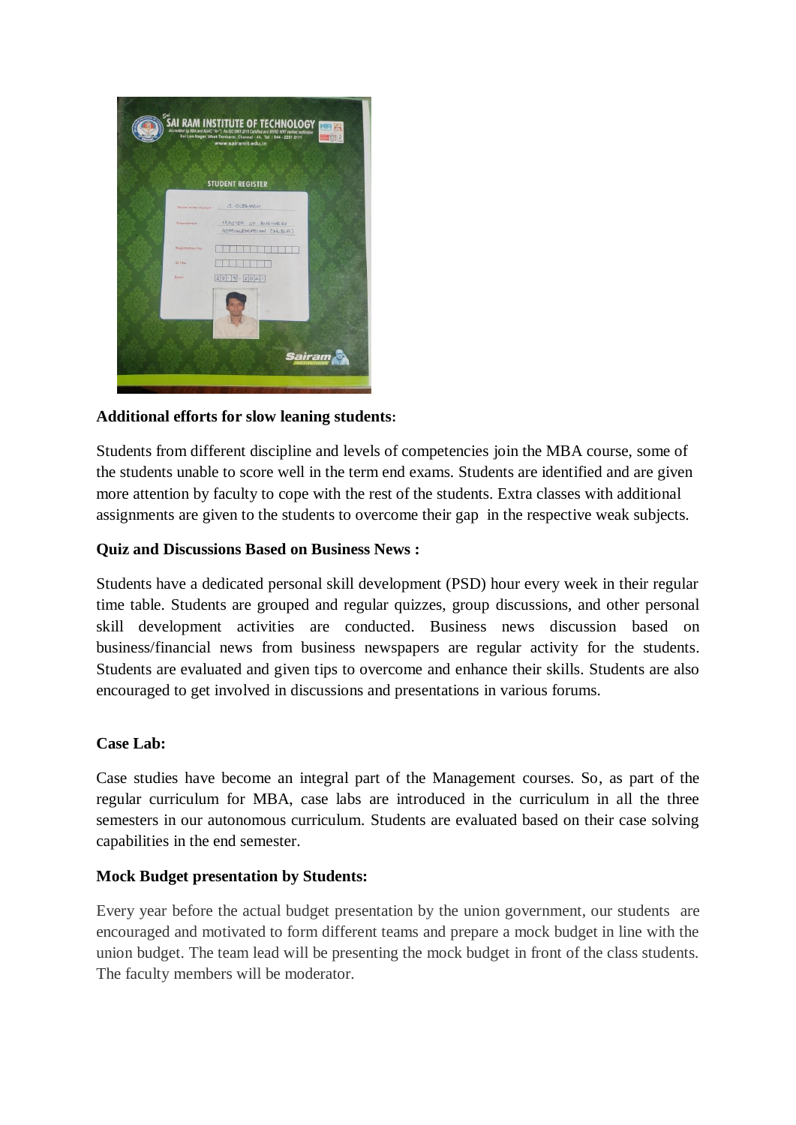

# **Additional efforts for slow leaning students:**

Students from different discipline and levels of competencies join the MBA course, some of the students unable to score well in the term end exams. Students are identified and are given more attention by faculty to cope with the rest of the students. Extra classes with additional assignments are given to the students to overcome their gap in the respective weak subjects.

# **Quiz and Discussions Based on Business News :**

Students have a dedicated personal skill development (PSD) hour every week in their regular time table. Students are grouped and regular quizzes, group discussions, and other personal skill development activities are conducted. Business news discussion based on business/financial news from business newspapers are regular activity for the students. Students are evaluated and given tips to overcome and enhance their skills. Students are also encouraged to get involved in discussions and presentations in various forums.

#### **Case Lab:**

Case studies have become an integral part of the Management courses. So, as part of the regular curriculum for MBA, case labs are introduced in the curriculum in all the three semesters in our autonomous curriculum. Students are evaluated based on their case solving capabilities in the end semester.

## **Mock Budget presentation by Students:**

Every year before the actual budget presentation by the union government, our students are encouraged and motivated to form different teams and prepare a mock budget in line with the union budget. The team lead will be presenting the mock budget in front of the class students. The faculty members will be moderator.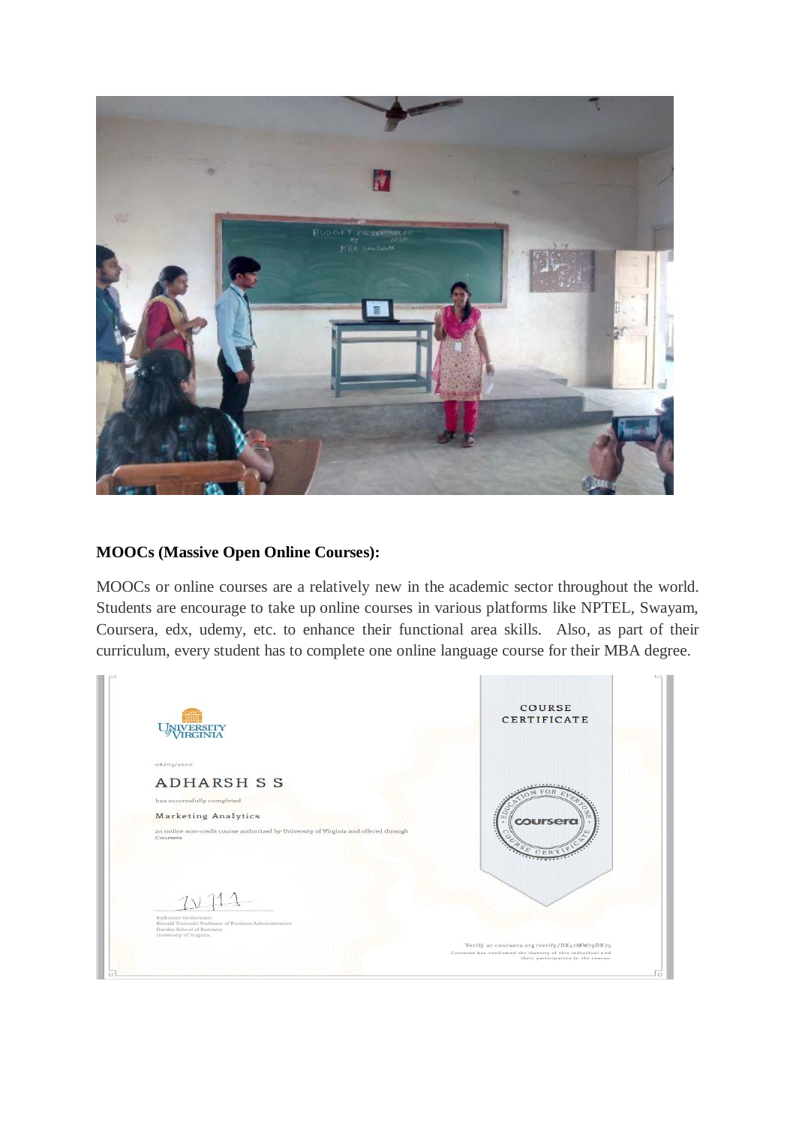

## **MOOCs (Massive Open Online Courses):**

MOOCs or online courses are a relatively new in the academic sector throughout the world. Students are encourage to take up online courses in various platforms like NPTEL, Swayam, Coursera, edx, udemy, etc. to enhance their functional area skills. Also, as part of their curriculum, every student has to complete one online language course for their MBA degree.